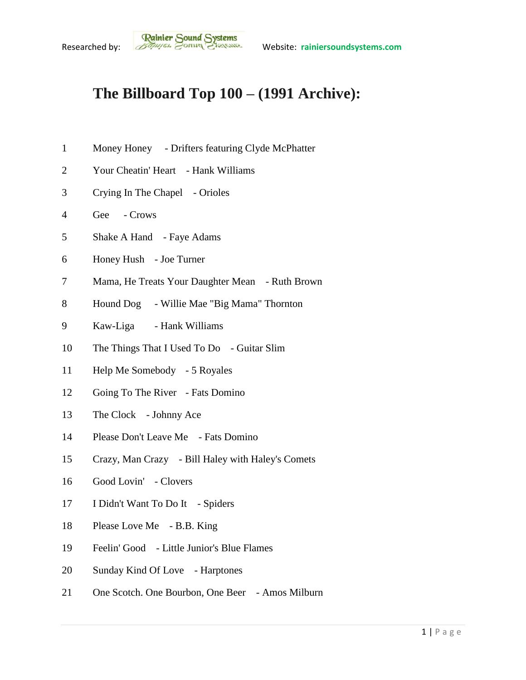## **The Billboard Top 100 – (1991 Archive):**

- Money Honey Drifters featuring Clyde McPhatter
- Your Cheatin' Heart Hank Williams
- Crying In The Chapel Orioles
- Gee Crows
- Shake A Hand Faye Adams
- Honey Hush Joe Turner
- Mama, He Treats Your Daughter Mean Ruth Brown
- Hound Dog Willie Mae "Big Mama" Thornton
- Kaw-Liga Hank Williams
- The Things That I Used To Do Guitar Slim
- Help Me Somebody 5 Royales
- 12 Going To The River Fats Domino
- 13 The Clock Johnny Ace
- Please Don't Leave Me Fats Domino
- Crazy, Man Crazy Bill Haley with Haley's Comets
- Good Lovin' Clovers
- I Didn't Want To Do It Spiders
- Please Love Me B.B. King
- Feelin' Good Little Junior's Blue Flames
- Sunday Kind Of Love Harptones
- One Scotch. One Bourbon, One Beer Amos Milburn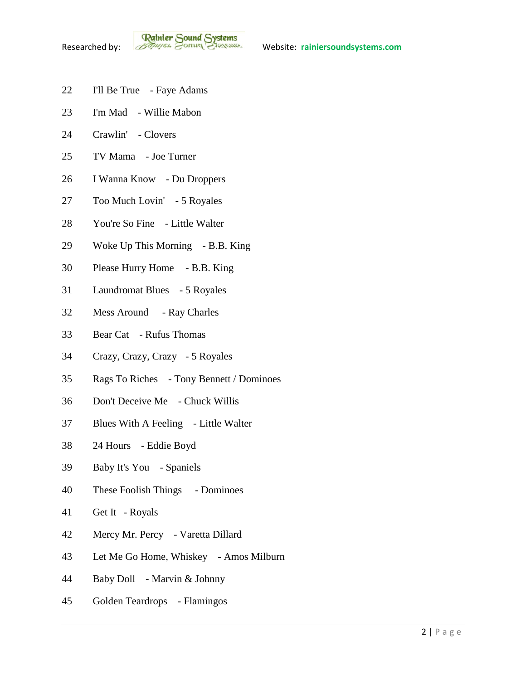- I'll Be True Faye Adams
- I'm Mad Willie Mabon
- Crawlin' Clovers
- TV Mama Joe Turner
- I Wanna Know Du Droppers
- Too Much Lovin' 5 Royales
- You're So Fine Little Walter
- Woke Up This Morning B.B. King
- Please Hurry Home B.B. King
- Laundromat Blues 5 Royales
- Mess Around Ray Charles
- Bear Cat Rufus Thomas
- Crazy, Crazy, Crazy 5 Royales
- Rags To Riches Tony Bennett / Dominoes
- Don't Deceive Me Chuck Willis
- Blues With A Feeling Little Walter
- 24 Hours Eddie Boyd
- Baby It's You Spaniels
- These Foolish Things Dominoes
- Get It Royals
- Mercy Mr. Percy Varetta Dillard
- Let Me Go Home, Whiskey Amos Milburn
- Baby Doll Marvin & Johnny
- Golden Teardrops Flamingos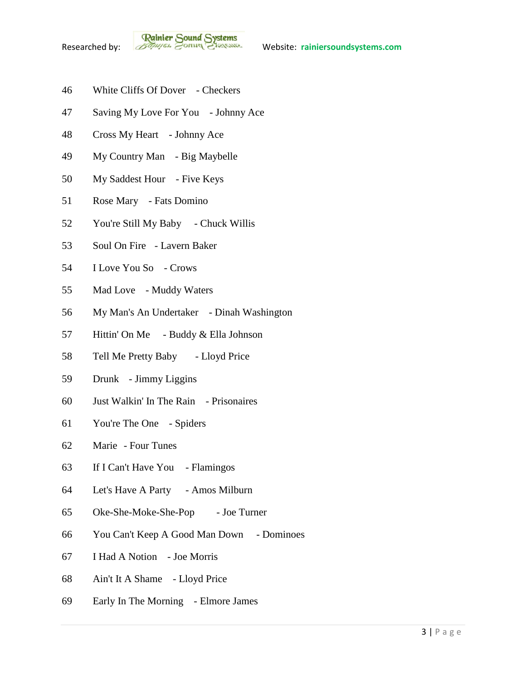- White Cliffs Of Dover Checkers
- Saving My Love For You Johnny Ace
- Cross My Heart Johnny Ace
- My Country Man Big Maybelle
- My Saddest Hour Five Keys
- Rose Mary Fats Domino
- You're Still My Baby Chuck Willis
- Soul On Fire Lavern Baker
- I Love You So Crows
- Mad Love Muddy Waters
- My Man's An Undertaker Dinah Washington
- Hittin' On Me Buddy & Ella Johnson
- 58 Tell Me Pretty Baby Lloyd Price
- Drunk Jimmy Liggins
- Just Walkin' In The Rain Prisonaires
- You're The One Spiders
- Marie Four Tunes
- If I Can't Have You Flamingos
- Let's Have A Party Amos Milburn
- Oke-She-Moke-She-Pop Joe Turner
- You Can't Keep A Good Man Down Dominoes
- I Had A Notion Joe Morris
- Ain't It A Shame Lloyd Price
- Early In The Morning Elmore James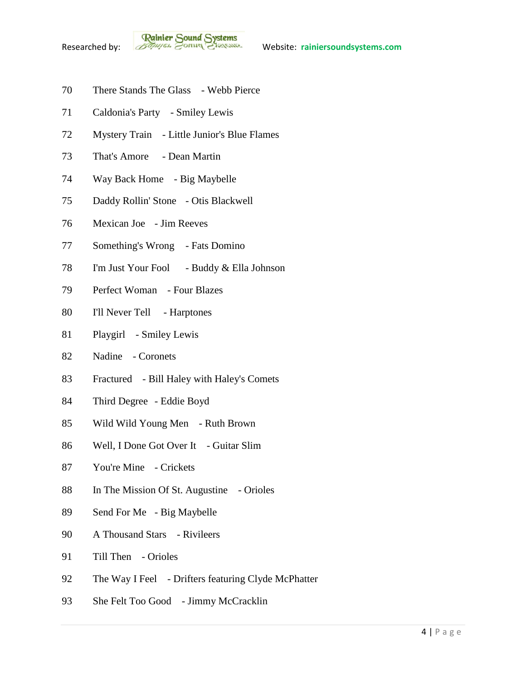**Rainier Sound Systems**<br>Researched by: *Bothuges* Conner Charantee Website: rainiersoundsystems.com

- There Stands The Glass Webb Pierce
- Caldonia's Party Smiley Lewis
- Mystery Train Little Junior's Blue Flames
- That's Amore Dean Martin
- Way Back Home Big Maybelle
- Daddy Rollin' Stone Otis Blackwell
- Mexican Joe Jim Reeves
- Something's Wrong Fats Domino
- I'm Just Your Fool Buddy & Ella Johnson
- Perfect Woman Four Blazes
- I'll Never Tell Harptones
- Playgirl Smiley Lewis
- Nadine Coronets
- Fractured Bill Haley with Haley's Comets
- Third Degree Eddie Boyd
- Wild Wild Young Men Ruth Brown
- Well, I Done Got Over It Guitar Slim
- You're Mine Crickets
- In The Mission Of St. Augustine Orioles
- Send For Me Big Maybelle
- A Thousand Stars Rivileers
- Till Then Orioles
- 92 The Way I Feel Drifters featuring Clyde McPhatter
- 93 She Felt Too Good Jimmy McCracklin